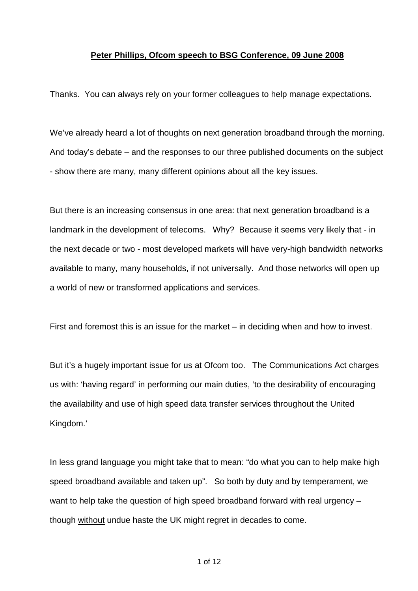## **Peter Phillips, Ofcom speech to BSG Conference, 09 June 2008**

Thanks. You can always rely on your former colleagues to help manage expectations.

We've already heard a lot of thoughts on next generation broadband through the morning. And today's debate – and the responses to our three published documents on the subject - show there are many, many different opinions about all the key issues.

But there is an increasing consensus in one area: that next generation broadband is a landmark in the development of telecoms. Why? Because it seems very likely that - in the next decade or two - most developed markets will have very-high bandwidth networks available to many, many households, if not universally. And those networks will open up a world of new or transformed applications and services.

First and foremost this is an issue for the market – in deciding when and how to invest.

But it's a hugely important issue for us at Ofcom too. The Communications Act charges us with: 'having regard' in performing our main duties, 'to the desirability of encouraging the availability and use of high speed data transfer services throughout the United Kingdom.'

In less grand language you might take that to mean: "do what you can to help make high speed broadband available and taken up". So both by duty and by temperament, we want to help take the question of high speed broadband forward with real urgency – though without undue haste the UK might regret in decades to come.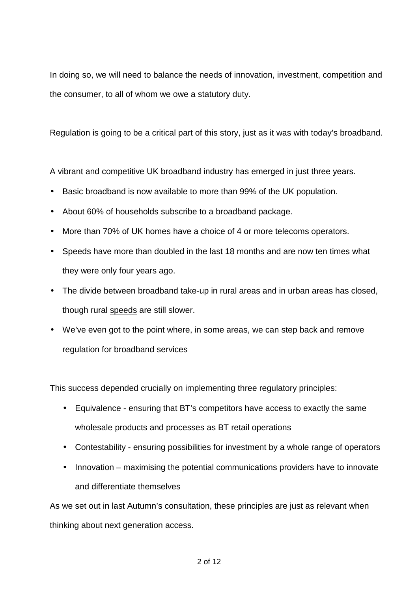In doing so, we will need to balance the needs of innovation, investment, competition and the consumer, to all of whom we owe a statutory duty.

Regulation is going to be a critical part of this story, just as it was with today's broadband.

A vibrant and competitive UK broadband industry has emerged in just three years.

- Basic broadband is now available to more than 99% of the UK population.
- About 60% of households subscribe to a broadband package.
- More than 70% of UK homes have a choice of 4 or more telecoms operators.
- Speeds have more than doubled in the last 18 months and are now ten times what they were only four years ago.
- The divide between broadband take-up in rural areas and in urban areas has closed, though rural speeds are still slower.
- We've even got to the point where, in some areas, we can step back and remove regulation for broadband services

This success depended crucially on implementing three regulatory principles:

- Equivalence ensuring that BT's competitors have access to exactly the same wholesale products and processes as BT retail operations
- Contestability ensuring possibilities for investment by a whole range of operators
- Innovation maximising the potential communications providers have to innovate and differentiate themselves

As we set out in last Autumn's consultation, these principles are just as relevant when thinking about next generation access.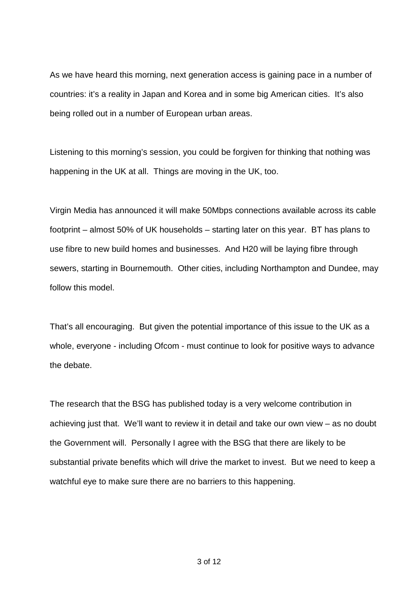As we have heard this morning, next generation access is gaining pace in a number of countries: it's a reality in Japan and Korea and in some big American cities. It's also being rolled out in a number of European urban areas.

Listening to this morning's session, you could be forgiven for thinking that nothing was happening in the UK at all. Things are moving in the UK, too.

Virgin Media has announced it will make 50Mbps connections available across its cable footprint – almost 50% of UK households – starting later on this year. BT has plans to use fibre to new build homes and businesses. And H20 will be laying fibre through sewers, starting in Bournemouth. Other cities, including Northampton and Dundee, may follow this model.

That's all encouraging. But given the potential importance of this issue to the UK as a whole, everyone - including Ofcom - must continue to look for positive ways to advance the debate.

The research that the BSG has published today is a very welcome contribution in achieving just that. We'll want to review it in detail and take our own view – as no doubt the Government will. Personally I agree with the BSG that there are likely to be substantial private benefits which will drive the market to invest. But we need to keep a watchful eye to make sure there are no barriers to this happening.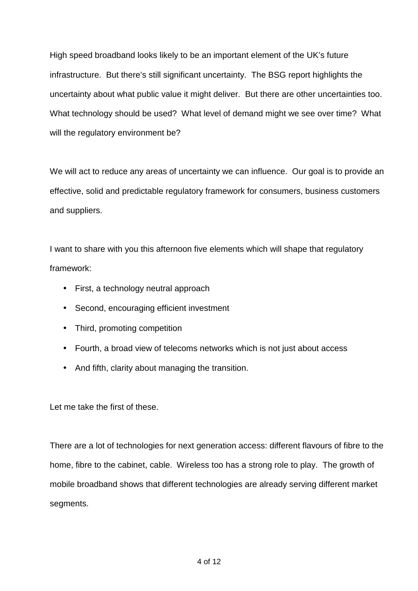High speed broadband looks likely to be an important element of the UK's future infrastructure. But there's still significant uncertainty. The BSG report highlights the uncertainty about what public value it might deliver. But there are other uncertainties too. What technology should be used? What level of demand might we see over time? What will the regulatory environment be?

We will act to reduce any areas of uncertainty we can influence. Our goal is to provide an effective, solid and predictable regulatory framework for consumers, business customers and suppliers.

I want to share with you this afternoon five elements which will shape that regulatory framework:

- First, a technology neutral approach
- Second, encouraging efficient investment
- Third, promoting competition
- Fourth, a broad view of telecoms networks which is not just about access
- And fifth, clarity about managing the transition.

Let me take the first of these.

There are a lot of technologies for next generation access: different flavours of fibre to the home, fibre to the cabinet, cable. Wireless too has a strong role to play. The growth of mobile broadband shows that different technologies are already serving different market segments.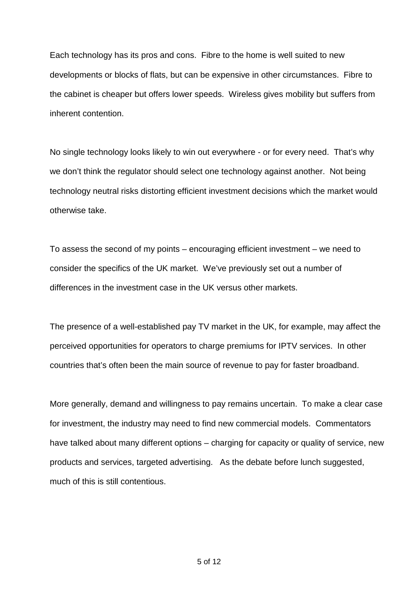Each technology has its pros and cons. Fibre to the home is well suited to new developments or blocks of flats, but can be expensive in other circumstances. Fibre to the cabinet is cheaper but offers lower speeds. Wireless gives mobility but suffers from inherent contention.

No single technology looks likely to win out everywhere - or for every need. That's why we don't think the regulator should select one technology against another. Not being technology neutral risks distorting efficient investment decisions which the market would otherwise take.

To assess the second of my points – encouraging efficient investment – we need to consider the specifics of the UK market. We've previously set out a number of differences in the investment case in the UK versus other markets.

The presence of a well-established pay TV market in the UK, for example, may affect the perceived opportunities for operators to charge premiums for IPTV services. In other countries that's often been the main source of revenue to pay for faster broadband.

More generally, demand and willingness to pay remains uncertain. To make a clear case for investment, the industry may need to find new commercial models. Commentators have talked about many different options – charging for capacity or quality of service, new products and services, targeted advertising. As the debate before lunch suggested, much of this is still contentious.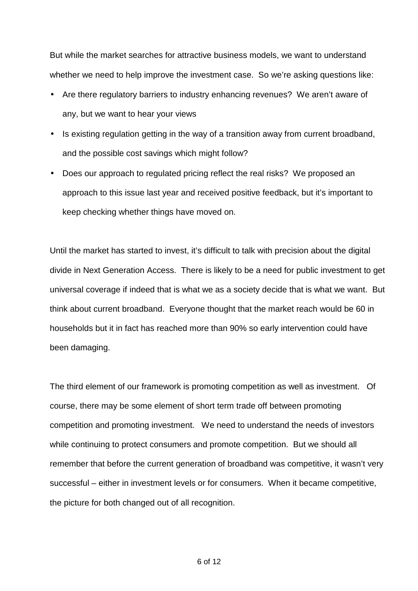But while the market searches for attractive business models, we want to understand whether we need to help improve the investment case. So we're asking questions like:

- Are there regulatory barriers to industry enhancing revenues? We aren't aware of any, but we want to hear your views
- Is existing regulation getting in the way of a transition away from current broadband, and the possible cost savings which might follow?
- Does our approach to regulated pricing reflect the real risks? We proposed an approach to this issue last year and received positive feedback, but it's important to keep checking whether things have moved on.

Until the market has started to invest, it's difficult to talk with precision about the digital divide in Next Generation Access. There is likely to be a need for public investment to get universal coverage if indeed that is what we as a society decide that is what we want. But think about current broadband. Everyone thought that the market reach would be 60 in households but it in fact has reached more than 90% so early intervention could have been damaging.

The third element of our framework is promoting competition as well as investment. Of course, there may be some element of short term trade off between promoting competition and promoting investment. We need to understand the needs of investors while continuing to protect consumers and promote competition. But we should all remember that before the current generation of broadband was competitive, it wasn't very successful – either in investment levels or for consumers. When it became competitive, the picture for both changed out of all recognition.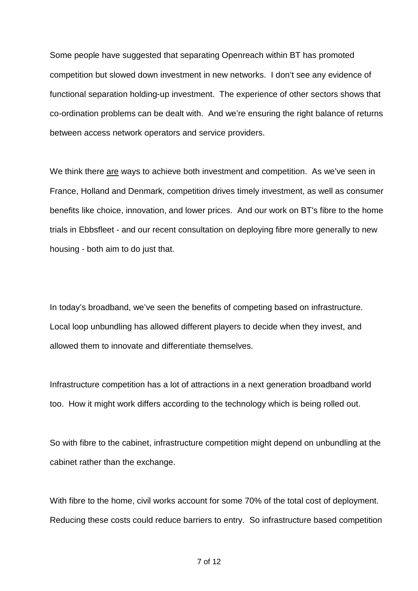Some people have suggested that separating Openreach within BT has promoted competition but slowed down investment in new networks. I don't see any evidence of functional separation holding-up investment. The experience of other sectors shows that co-ordination problems can be dealt with. And we're ensuring the right balance of returns between access network operators and service providers.

We think there are ways to achieve both investment and competition. As we've seen in France, Holland and Denmark, competition drives timely investment, as well as consumer benefits like choice, innovation, and lower prices. And our work on BT's fibre to the home trials in Ebbsfleet - and our recent consultation on deploying fibre more generally to new housing - both aim to do just that.

In today's broadband, we've seen the benefits of competing based on infrastructure. Local loop unbundling has allowed different players to decide when they invest, and allowed them to innovate and differentiate themselves.

Infrastructure competition has a lot of attractions in a next generation broadband world too. How it might work differs according to the technology which is being rolled out.

So with fibre to the cabinet, infrastructure competition might depend on unbundling at the cabinet rather than the exchange.

With fibre to the home, civil works account for some 70% of the total cost of deployment. Reducing these costs could reduce barriers to entry. So infrastructure based competition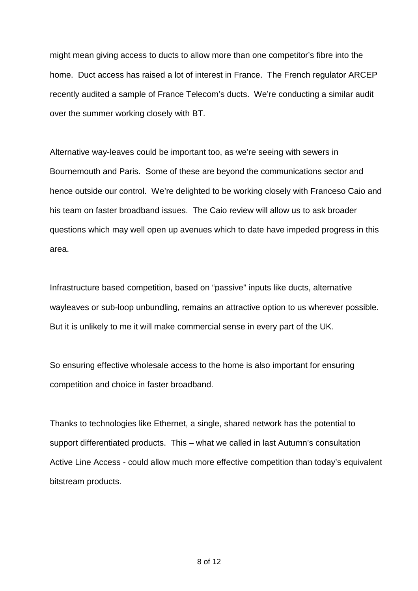might mean giving access to ducts to allow more than one competitor's fibre into the home. Duct access has raised a lot of interest in France. The French regulator ARCEP recently audited a sample of France Telecom's ducts. We're conducting a similar audit over the summer working closely with BT.

Alternative way-leaves could be important too, as we're seeing with sewers in Bournemouth and Paris. Some of these are beyond the communications sector and hence outside our control. We're delighted to be working closely with Franceso Caio and his team on faster broadband issues. The Caio review will allow us to ask broader questions which may well open up avenues which to date have impeded progress in this area.

Infrastructure based competition, based on "passive" inputs like ducts, alternative wayleaves or sub-loop unbundling, remains an attractive option to us wherever possible. But it is unlikely to me it will make commercial sense in every part of the UK.

So ensuring effective wholesale access to the home is also important for ensuring competition and choice in faster broadband.

Thanks to technologies like Ethernet, a single, shared network has the potential to support differentiated products. This – what we called in last Autumn's consultation Active Line Access - could allow much more effective competition than today's equivalent bitstream products.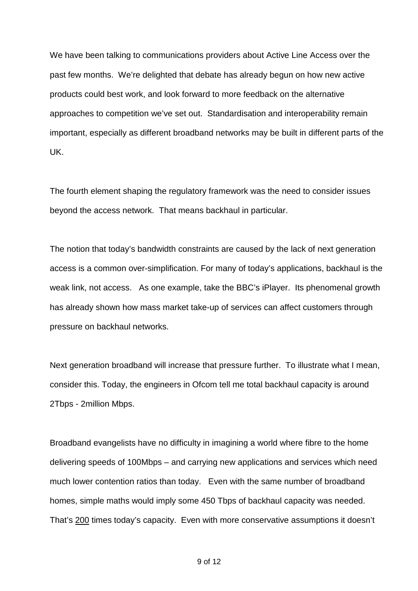We have been talking to communications providers about Active Line Access over the past few months. We're delighted that debate has already begun on how new active products could best work, and look forward to more feedback on the alternative approaches to competition we've set out. Standardisation and interoperability remain important, especially as different broadband networks may be built in different parts of the UK.

The fourth element shaping the regulatory framework was the need to consider issues beyond the access network. That means backhaul in particular.

The notion that today's bandwidth constraints are caused by the lack of next generation access is a common over-simplification. For many of today's applications, backhaul is the weak link, not access. As one example, take the BBC's iPlayer. Its phenomenal growth has already shown how mass market take-up of services can affect customers through pressure on backhaul networks.

Next generation broadband will increase that pressure further. To illustrate what I mean, consider this. Today, the engineers in Ofcom tell me total backhaul capacity is around 2Tbps - 2million Mbps.

Broadband evangelists have no difficulty in imagining a world where fibre to the home delivering speeds of 100Mbps – and carrying new applications and services which need much lower contention ratios than today. Even with the same number of broadband homes, simple maths would imply some 450 Tbps of backhaul capacity was needed. That's 200 times today's capacity. Even with more conservative assumptions it doesn't

9 of 12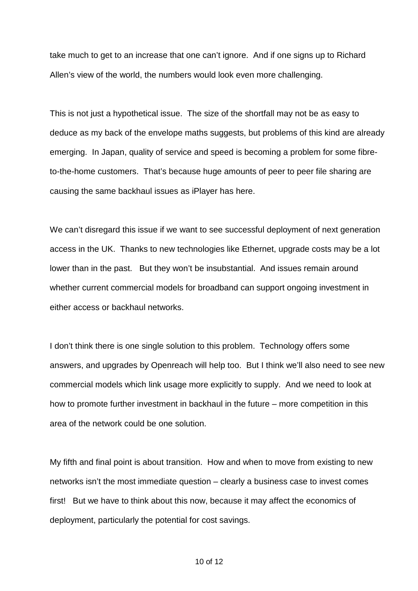take much to get to an increase that one can't ignore. And if one signs up to Richard Allen's view of the world, the numbers would look even more challenging.

This is not just a hypothetical issue. The size of the shortfall may not be as easy to deduce as my back of the envelope maths suggests, but problems of this kind are already emerging. In Japan, quality of service and speed is becoming a problem for some fibreto-the-home customers. That's because huge amounts of peer to peer file sharing are causing the same backhaul issues as iPlayer has here.

We can't disregard this issue if we want to see successful deployment of next generation access in the UK. Thanks to new technologies like Ethernet, upgrade costs may be a lot lower than in the past. But they won't be insubstantial. And issues remain around whether current commercial models for broadband can support ongoing investment in either access or backhaul networks.

I don't think there is one single solution to this problem. Technology offers some answers, and upgrades by Openreach will help too. But I think we'll also need to see new commercial models which link usage more explicitly to supply. And we need to look at how to promote further investment in backhaul in the future – more competition in this area of the network could be one solution.

My fifth and final point is about transition. How and when to move from existing to new networks isn't the most immediate question – clearly a business case to invest comes first! But we have to think about this now, because it may affect the economics of deployment, particularly the potential for cost savings.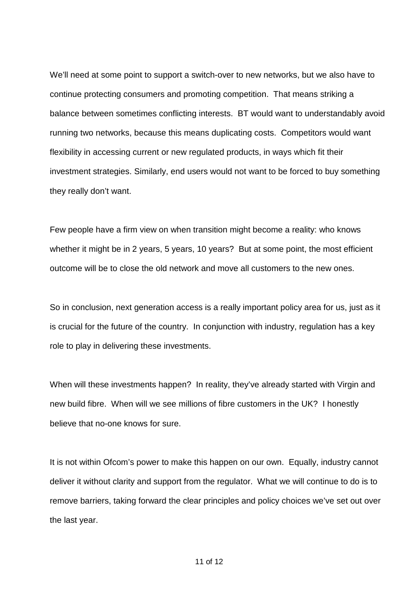We'll need at some point to support a switch-over to new networks, but we also have to continue protecting consumers and promoting competition. That means striking a balance between sometimes conflicting interests. BT would want to understandably avoid running two networks, because this means duplicating costs. Competitors would want flexibility in accessing current or new regulated products, in ways which fit their investment strategies. Similarly, end users would not want to be forced to buy something they really don't want.

Few people have a firm view on when transition might become a reality: who knows whether it might be in 2 years, 5 years, 10 years? But at some point, the most efficient outcome will be to close the old network and move all customers to the new ones.

So in conclusion, next generation access is a really important policy area for us, just as it is crucial for the future of the country. In conjunction with industry, regulation has a key role to play in delivering these investments.

When will these investments happen? In reality, they've already started with Virgin and new build fibre. When will we see millions of fibre customers in the UK? I honestly believe that no-one knows for sure.

It is not within Ofcom's power to make this happen on our own. Equally, industry cannot deliver it without clarity and support from the regulator. What we will continue to do is to remove barriers, taking forward the clear principles and policy choices we've set out over the last year.